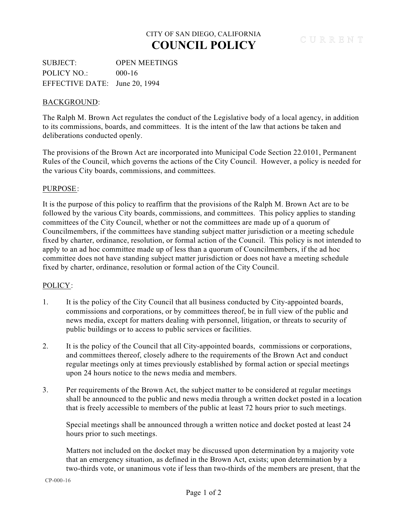## CITY OF SAN DIEGO, CALIFORNIA **COUNCIL POLICY**

SUBJECT: OPEN MEETINGS POLICY NO.: 000-16 EFFECTIVE DATE: June 20, 1994

### BACKGROUND:

The Ralph M. Brown Act regulates the conduct of the Legislative body of a local agency, in addition to its commissions, boards, and committees. It is the intent of the law that actions be taken and deliberations conducted openly.

The provisions of the Brown Act are incorporated into Municipal Code Section 22.0101, Permanent Rules of the Council, which governs the actions of the City Council. However, a policy is needed for the various City boards, commissions, and committees.

### PURPOSE:

It is the purpose of this policy to reaffirm that the provisions of the Ralph M. Brown Act are to be followed by the various City boards, commissions, and committees. This policy applies to standing committees of the City Council, whether or not the committees are made up of a quorum of Councilmembers, if the committees have standing subject matter jurisdiction or a meeting schedule fixed by charter, ordinance, resolution, or formal action of the Council. This policy is not intended to apply to an ad hoc committee made up of less than a quorum of Councilmembers, if the ad hoc committee does not have standing subject matter jurisdiction or does not have a meeting schedule fixed by charter, ordinance, resolution or formal action of the City Council.

### POLICY:

- 1. It is the policy of the City Council that all business conducted by City-appointed boards, commissions and corporations, or by committees thereof, be in full view of the public and news media, except for matters dealing with personnel, litigation, or threats to security of public buildings or to access to public services or facilities.
- 2. It is the policy of the Council that all City-appointed boards, commissions or corporations, and committees thereof, closely adhere to the requirements of the Brown Act and conduct regular meetings only at times previously established by formal action or special meetings upon 24 hours notice to the news media and members.
- 3. Per requirements of the Brown Act, the subject matter to be considered at regular meetings shall be announced to the public and news media through a written docket posted in a location that is freely accessible to members of the public at least 72 hours prior to such meetings.

Special meetings shall be announced through a written notice and docket posted at least 24 hours prior to such meetings.

Matters not included on the docket may be discussed upon determination by a majority vote that an emergency situation, as defined in the Brown Act, exists; upon determination by a two-thirds vote, or unanimous vote if less than two-thirds of the members are present, that the